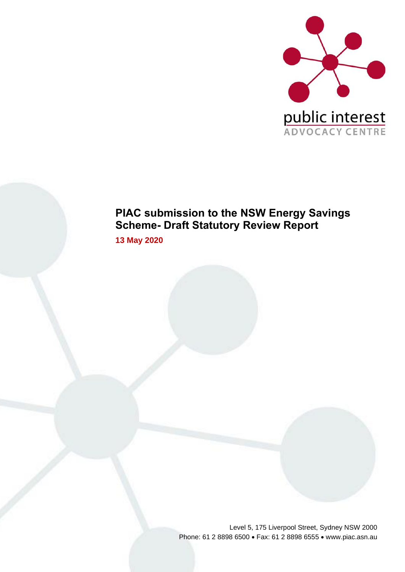

# **PIAC submission to the NSW Energy Savings Scheme- Draft Statutory Review Report**

**13 May 2020** 

Level 5, 175 Liverpool Street, Sydney NSW 2000 Phone: 61 2 8898 6500 • Fax: 61 2 8898 6555 • www.piac.asn.au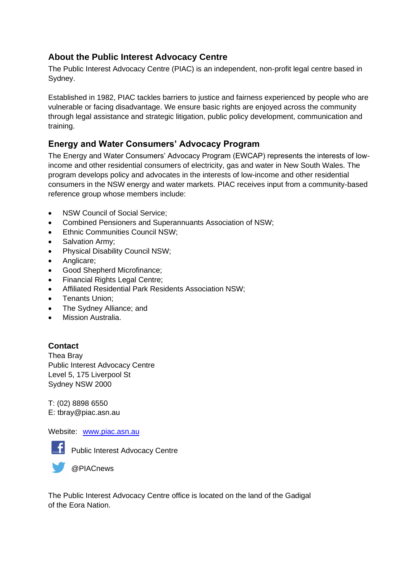## **About the Public Interest Advocacy Centre**

The Public Interest Advocacy Centre (PIAC) is an independent, non-profit legal centre based in Sydney.

Established in 1982, PIAC tackles barriers to justice and fairness experienced by people who are vulnerable or facing disadvantage. We ensure basic rights are enjoyed across the community through legal assistance and strategic litigation, public policy development, communication and training.

## **Energy and Water Consumers' Advocacy Program**

The Energy and Water Consumers' Advocacy Program (EWCAP) represents the interests of lowincome and other residential consumers of electricity, gas and water in New South Wales. The program develops policy and advocates in the interests of low-income and other residential consumers in the NSW energy and water markets. PIAC receives input from a community-based reference group whose members include:

- NSW Council of Social Service:
- Combined Pensioners and Superannuants Association of NSW;
- Ethnic Communities Council NSW;
- Salvation Army;
- Physical Disability Council NSW;
- Anglicare;
- Good Shepherd Microfinance;
- Financial Rights Legal Centre;
- Affiliated Residential Park Residents Association NSW;
- Tenants Union;
- The Sydney Alliance; and
- Mission Australia.

### **Contact**

Thea Bray Public Interest Advocacy Centre Level 5, 175 Liverpool St Sydney NSW 2000

T: (02) 8898 6550 E: tbray@piac.asn.au

#### Website: [www.piac.asn.au](http://www.piac.asn.au/)



Public Interest Advocacy Centre

@PIACnews

The Public Interest Advocacy Centre office is located on the land of the Gadigal of the Eora Nation.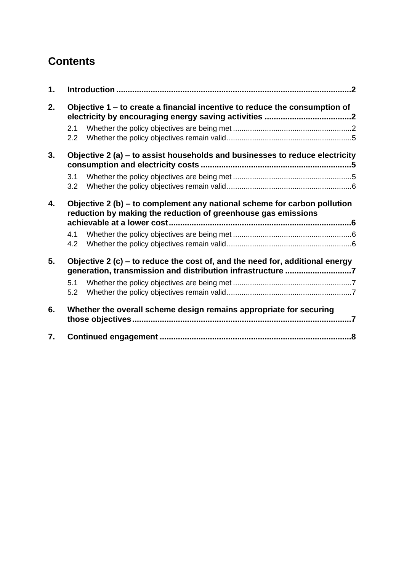# **Contents**

| 1. |                                                                                                                                            |  |  |
|----|--------------------------------------------------------------------------------------------------------------------------------------------|--|--|
| 2. | Objective 1 – to create a financial incentive to reduce the consumption of                                                                 |  |  |
|    | 2.1<br>2.2                                                                                                                                 |  |  |
| 3. | Objective 2 (a) – to assist households and businesses to reduce electricity                                                                |  |  |
|    | 3.1<br>3.2                                                                                                                                 |  |  |
| 4. | Objective 2 (b) – to complement any national scheme for carbon pollution<br>reduction by making the reduction of greenhouse gas emissions  |  |  |
|    | 4.1<br>4.2                                                                                                                                 |  |  |
| 5. | Objective 2 (c) – to reduce the cost of, and the need for, additional energy<br>generation, transmission and distribution infrastructure 7 |  |  |
|    | 5.1<br>5.2                                                                                                                                 |  |  |
| 6. | Whether the overall scheme design remains appropriate for securing                                                                         |  |  |
| 7. |                                                                                                                                            |  |  |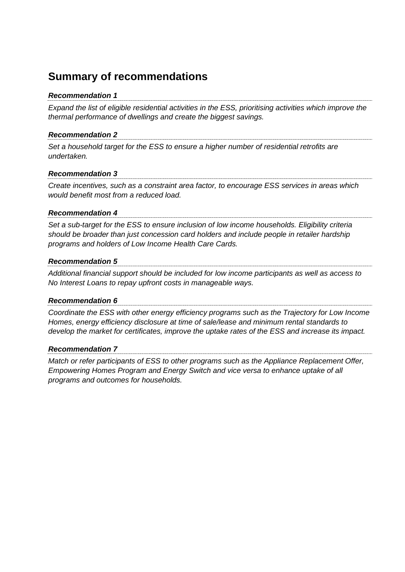## **Summary of recommendations**

#### *Recommendation 1*

*Expand the list of eligible residential activities in the ESS, prioritising activities which improve the thermal performance of dwellings and create the biggest savings.* 

#### *Recommendation 2*

*Set a household target for the ESS to ensure a higher number of residential retrofits are undertaken.* 

#### *Recommendation 3*

*Create incentives, such as a constraint area factor, to encourage ESS services in areas which would benefit most from a reduced load.* 

#### *Recommendation 4*

*Set a sub-target for the ESS to ensure inclusion of low income households. Eligibility criteria should be broader than just concession card holders and include people in retailer hardship programs and holders of Low Income Health Care Cards.* 

#### *Recommendation 5*

*Additional financial support should be included for low income participants as well as access to No Interest Loans to repay upfront costs in manageable ways.*

#### *Recommendation 6*

*Coordinate the ESS with other energy efficiency programs such as the Trajectory for Low Income Homes, energy efficiency disclosure at time of sale/lease and minimum rental standards to develop the market for certificates, improve the uptake rates of the ESS and increase its impact.*

#### *Recommendation 7*

*Match or refer participants of ESS to other programs such as the Appliance Replacement Offer, Empowering Homes Program and Energy Switch and vice versa to enhance uptake of all programs and outcomes for households.*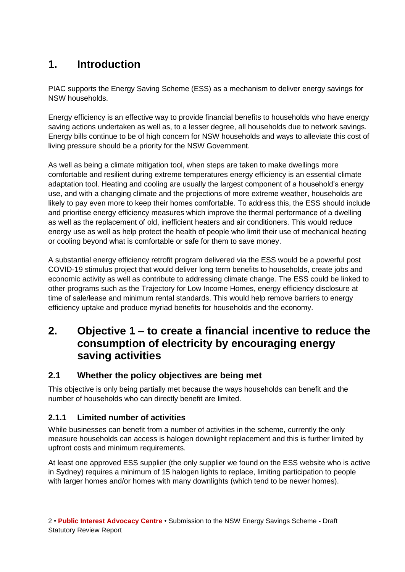# <span id="page-5-0"></span>**1. Introduction**

PIAC supports the Energy Saving Scheme (ESS) as a mechanism to deliver energy savings for NSW households.

Energy efficiency is an effective way to provide financial benefits to households who have energy saving actions undertaken as well as, to a lesser degree, all households due to network savings. Energy bills continue to be of high concern for NSW households and ways to alleviate this cost of living pressure should be a priority for the NSW Government.

As well as being a climate mitigation tool, when steps are taken to make dwellings more comfortable and resilient during extreme temperatures energy efficiency is an essential climate adaptation tool. Heating and cooling are usually the largest component of a household's energy use, and with a changing climate and the projections of more extreme weather, households are likely to pay even more to keep their homes comfortable. To address this, the ESS should include and prioritise energy efficiency measures which improve the thermal performance of a dwelling as well as the replacement of old, inefficient heaters and air conditioners. This would reduce energy use as well as help protect the health of people who limit their use of mechanical heating or cooling beyond what is comfortable or safe for them to save money.

A substantial energy efficiency retrofit program delivered via the ESS would be a powerful post COVID-19 stimulus project that would deliver long term benefits to households, create jobs and economic activity as well as contribute to addressing climate change. The ESS could be linked to other programs such as the Trajectory for Low Income Homes, energy efficiency disclosure at time of sale/lease and minimum rental standards. This would help remove barriers to energy efficiency uptake and produce myriad benefits for households and the economy.

## <span id="page-5-1"></span>**2. Objective 1 – to create a financial incentive to reduce the consumption of electricity by encouraging energy saving activities**

## <span id="page-5-2"></span>**2.1 Whether the policy objectives are being met**

This objective is only being partially met because the ways households can benefit and the number of households who can directly benefit are limited.

### **2.1.1 Limited number of activities**

While businesses can benefit from a number of activities in the scheme, currently the only measure households can access is halogen downlight replacement and this is further limited by upfront costs and minimum requirements.

At least one approved ESS supplier (the only supplier we found on the ESS website who is active in Sydney) requires a minimum of 15 halogen lights to replace, limiting participation to people with larger homes and/or homes with many downlights (which tend to be newer homes).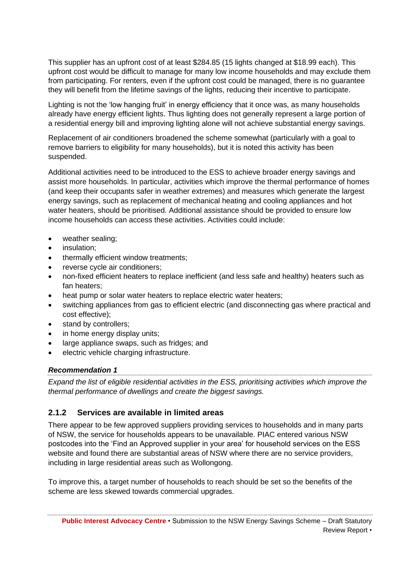This supplier has an upfront cost of at least \$284.85 (15 lights changed at \$18.99 each). This upfront cost would be difficult to manage for many low income households and may exclude them from participating. For renters, even if the upfront cost could be managed, there is no guarantee they will benefit from the lifetime savings of the lights, reducing their incentive to participate.

Lighting is not the 'low hanging fruit' in energy efficiency that it once was, as many households already have energy efficient lights. Thus lighting does not generally represent a large portion of a residential energy bill and improving lighting alone will not achieve substantial energy savings.

Replacement of air conditioners broadened the scheme somewhat (particularly with a goal to remove barriers to eligibility for many households), but it is noted this activity has been suspended.

Additional activities need to be introduced to the ESS to achieve broader energy savings and assist more households. In particular, activities which improve the thermal performance of homes (and keep their occupants safer in weather extremes) and measures which generate the largest energy savings, such as replacement of mechanical heating and cooling appliances and hot water heaters, should be prioritised. Additional assistance should be provided to ensure low income households can access these activities. Activities could include:

- weather sealing;
- insulation;
- thermally efficient window treatments;
- reverse cycle air conditioners;
- non-fixed efficient heaters to replace inefficient (and less safe and healthy) heaters such as fan heaters;
- heat pump or solar water heaters to replace electric water heaters;
- switching appliances from gas to efficient electric (and disconnecting gas where practical and cost effective);
- stand by controllers;
- in home energy display units;
- large appliance swaps, such as fridges; and
- electric vehicle charging infrastructure.

#### *Recommendation 1*

*Expand the list of eligible residential activities in the ESS, prioritising activities which improve the thermal performance of dwellings and create the biggest savings.* 

#### **2.1.2 Services are available in limited areas**

There appear to be few approved suppliers providing services to households and in many parts of NSW, the service for households appears to be unavailable. PIAC entered various NSW postcodes into the 'Find an Approved supplier in your area' for household services on the ESS website and found there are substantial areas of NSW where there are no service providers, including in large residential areas such as Wollongong.

To improve this, a target number of households to reach should be set so the benefits of the scheme are less skewed towards commercial upgrades.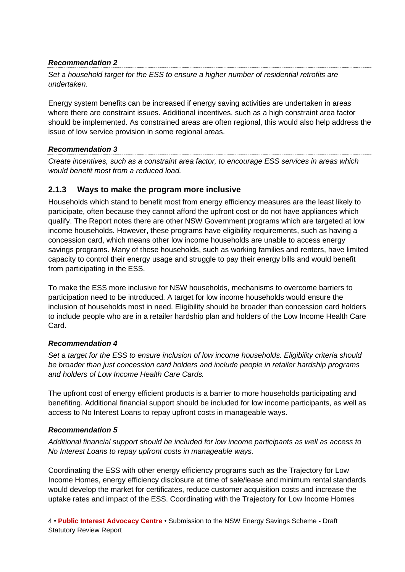#### *Recommendation 2*

*Set a household target for the ESS to ensure a higher number of residential retrofits are undertaken.* 

Energy system benefits can be increased if energy saving activities are undertaken in areas where there are constraint issues. Additional incentives, such as a high constraint area factor should be implemented. As constrained areas are often regional, this would also help address the issue of low service provision in some regional areas.

#### *Recommendation 3*

*Create incentives, such as a constraint area factor, to encourage ESS services in areas which would benefit most from a reduced load.* 

#### **2.1.3 Ways to make the program more inclusive**

Households which stand to benefit most from energy efficiency measures are the least likely to participate, often because they cannot afford the upfront cost or do not have appliances which qualify. The Report notes there are other NSW Government programs which are targeted at low income households. However, these programs have eligibility requirements, such as having a concession card, which means other low income households are unable to access energy savings programs. Many of these households, such as working families and renters, have limited capacity to control their energy usage and struggle to pay their energy bills and would benefit from participating in the ESS.

To make the ESS more inclusive for NSW households, mechanisms to overcome barriers to participation need to be introduced. A target for low income households would ensure the inclusion of households most in need. Eligibility should be broader than concession card holders to include people who are in a retailer hardship plan and holders of the Low Income Health Care Card.

#### *Recommendation 4*

*Set a target for the ESS to ensure inclusion of low income households. Eligibility criteria should be broader than just concession card holders and include people in retailer hardship programs and holders of Low Income Health Care Cards.* 

The upfront cost of energy efficient products is a barrier to more households participating and benefiting. Additional financial support should be included for low income participants, as well as access to No Interest Loans to repay upfront costs in manageable ways.

#### *Recommendation 5*

*Additional financial support should be included for low income participants as well as access to No Interest Loans to repay upfront costs in manageable ways.*

Coordinating the ESS with other energy efficiency programs such as the Trajectory for Low Income Homes, energy efficiency disclosure at time of sale/lease and minimum rental standards would develop the market for certificates, reduce customer acquisition costs and increase the uptake rates and impact of the ESS. Coordinating with the Trajectory for Low Income Homes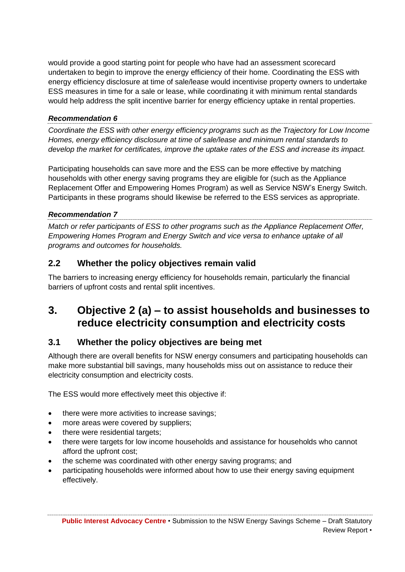would provide a good starting point for people who have had an assessment scorecard undertaken to begin to improve the energy efficiency of their home. Coordinating the ESS with energy efficiency disclosure at time of sale/lease would incentivise property owners to undertake ESS measures in time for a sale or lease, while coordinating it with minimum rental standards would help address the split incentive barrier for energy efficiency uptake in rental properties.

#### *Recommendation 6*

*Coordinate the ESS with other energy efficiency programs such as the Trajectory for Low Income Homes, energy efficiency disclosure at time of sale/lease and minimum rental standards to develop the market for certificates, improve the uptake rates of the ESS and increase its impact.*

Participating households can save more and the ESS can be more effective by matching households with other energy saving programs they are eligible for (such as the Appliance Replacement Offer and Empowering Homes Program) as well as Service NSW's Energy Switch. Participants in these programs should likewise be referred to the ESS services as appropriate.

#### *Recommendation 7*

*Match or refer participants of ESS to other programs such as the Appliance Replacement Offer, Empowering Homes Program and Energy Switch and vice versa to enhance uptake of all programs and outcomes for households.*

### <span id="page-8-0"></span>**2.2 Whether the policy objectives remain valid**

The barriers to increasing energy efficiency for households remain, particularly the financial barriers of upfront costs and rental split incentives.

## <span id="page-8-1"></span>**3. Objective 2 (a) – to assist households and businesses to reduce electricity consumption and electricity costs**

### <span id="page-8-2"></span>**3.1 Whether the policy objectives are being met**

Although there are overall benefits for NSW energy consumers and participating households can make more substantial bill savings, many households miss out on assistance to reduce their electricity consumption and electricity costs.

The ESS would more effectively meet this objective if:

- there were more activities to increase savings;
- more areas were covered by suppliers;
- there were residential targets;
- there were targets for low income households and assistance for households who cannot afford the upfront cost;
- the scheme was coordinated with other energy saving programs; and
- participating households were informed about how to use their energy saving equipment effectively.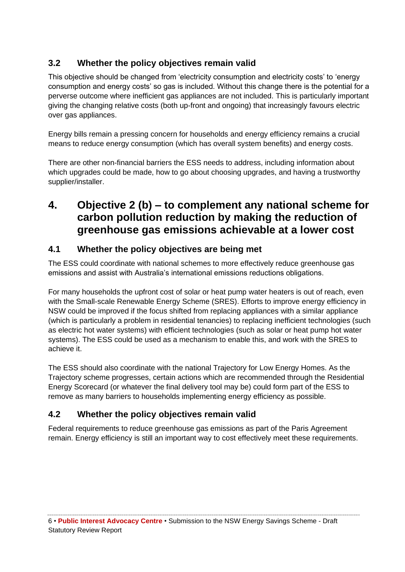## <span id="page-9-0"></span>**3.2 Whether the policy objectives remain valid**

This objective should be changed from 'electricity consumption and electricity costs' to 'energy consumption and energy costs' so gas is included. Without this change there is the potential for a perverse outcome where inefficient gas appliances are not included. This is particularly important giving the changing relative costs (both up-front and ongoing) that increasingly favours electric over gas appliances.

Energy bills remain a pressing concern for households and energy efficiency remains a crucial means to reduce energy consumption (which has overall system benefits) and energy costs.

There are other non-financial barriers the ESS needs to address, including information about which upgrades could be made, how to go about choosing upgrades, and having a trustworthy supplier/installer.

## <span id="page-9-1"></span>**4. Objective 2 (b) – to complement any national scheme for carbon pollution reduction by making the reduction of greenhouse gas emissions achievable at a lower cost**

### <span id="page-9-2"></span>**4.1 Whether the policy objectives are being met**

The ESS could coordinate with national schemes to more effectively reduce greenhouse gas emissions and assist with Australia's international emissions reductions obligations.

For many households the upfront cost of solar or heat pump water heaters is out of reach, even with the Small-scale Renewable Energy Scheme (SRES). Efforts to improve energy efficiency in NSW could be improved if the focus shifted from replacing appliances with a similar appliance (which is particularly a problem in residential tenancies) to replacing inefficient technologies (such as electric hot water systems) with efficient technologies (such as solar or heat pump hot water systems). The ESS could be used as a mechanism to enable this, and work with the SRES to achieve it.

The ESS should also coordinate with the national Trajectory for Low Energy Homes. As the Trajectory scheme progresses, certain actions which are recommended through the Residential Energy Scorecard (or whatever the final delivery tool may be) could form part of the ESS to remove as many barriers to households implementing energy efficiency as possible.

## <span id="page-9-3"></span>**4.2 Whether the policy objectives remain valid**

Federal requirements to reduce greenhouse gas emissions as part of the Paris Agreement remain. Energy efficiency is still an important way to cost effectively meet these requirements.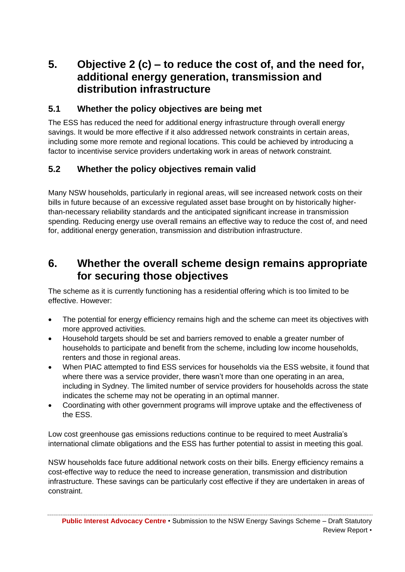## <span id="page-10-0"></span>**5. Objective 2 (c) – to reduce the cost of, and the need for, additional energy generation, transmission and distribution infrastructure**

### <span id="page-10-1"></span>**5.1 Whether the policy objectives are being met**

The ESS has reduced the need for additional energy infrastructure through overall energy savings. It would be more effective if it also addressed network constraints in certain areas, including some more remote and regional locations. This could be achieved by introducing a factor to incentivise service providers undertaking work in areas of network constraint.

## <span id="page-10-2"></span>**5.2 Whether the policy objectives remain valid**

Many NSW households, particularly in regional areas, will see increased network costs on their bills in future because of an excessive regulated asset base brought on by historically higherthan-necessary reliability standards and the anticipated significant increase in transmission spending. Reducing energy use overall remains an effective way to reduce the cost of, and need for, additional energy generation, transmission and distribution infrastructure.

## <span id="page-10-3"></span>**6. Whether the overall scheme design remains appropriate for securing those objectives**

The scheme as it is currently functioning has a residential offering which is too limited to be effective. However:

- The potential for energy efficiency remains high and the scheme can meet its objectives with more approved activities.
- Household targets should be set and barriers removed to enable a greater number of households to participate and benefit from the scheme, including low income households, renters and those in regional areas.
- When PIAC attempted to find ESS services for households via the ESS website, it found that where there was a service provider, there wasn't more than one operating in an area, including in Sydney. The limited number of service providers for households across the state indicates the scheme may not be operating in an optimal manner.
- Coordinating with other government programs will improve uptake and the effectiveness of the ESS.

Low cost greenhouse gas emissions reductions continue to be required to meet Australia's international climate obligations and the ESS has further potential to assist in meeting this goal.

NSW households face future additional network costs on their bills. Energy efficiency remains a cost-effective way to reduce the need to increase generation, transmission and distribution infrastructure. These savings can be particularly cost effective if they are undertaken in areas of constraint.